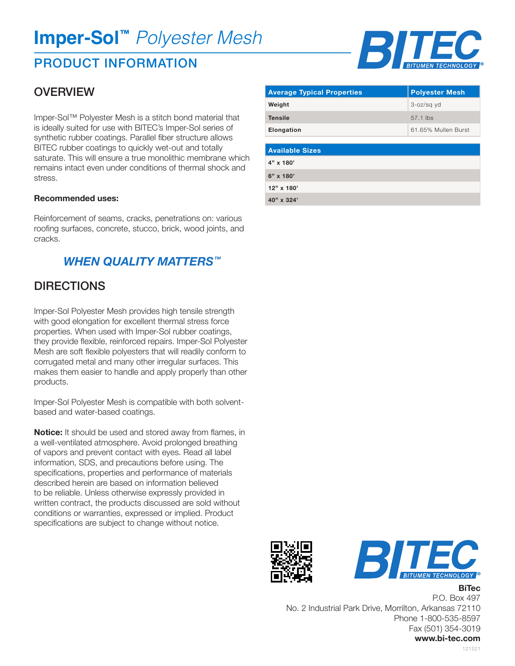# **Imper-Sol™** *Polyester Mesh*

# PRODUCT INFORMATION

## **OVERVIEW**

Imper-Sol™ Polyester Mesh is a stitch bond material that is ideally suited for use with BITEC's Imper-Sol series of synthetic rubber coatings. Parallel fiber structure allows BITEC rubber coatings to quickly wet-out and totally saturate. This will ensure a true monolithic membrane which remains intact even under conditions of thermal shock and stress.

#### **Recommended uses:**

Reinforcement of seams, cracks, penetrations on: various roofing surfaces, concrete, stucco, brick, wood joints, and cracks.

### *WHEN QUALITY MATTERS™*

### **DIRECTIONS**

Imper-Sol Polyester Mesh provides high tensile strength with good elongation for excellent thermal stress force properties. When used with Imper-Sol rubber coatings, they provide flexible, reinforced repairs. Imper-Sol Polyester Mesh are soft flexible polyesters that will readily conform to corrugated metal and many other irregular surfaces. This makes them easier to handle and apply properly than other products.

Imper-Sol Polyester Mesh is compatible with both solventbased and water-based coatings.

**Notice:** It should be used and stored away from flames, in a well-ventilated atmosphere. Avoid prolonged breathing of vapors and prevent contact with eyes. Read all label information, SDS, and precautions before using. The specifications, properties and performance of materials described herein are based on information believed to be reliable. Unless otherwise expressly provided in written contract, the products discussed are sold without conditions or warranties, expressed or implied. Product specifications are subject to change without notice.



| <b>Average Typical Properties</b> | <b>Polyester Mesh</b> |
|-----------------------------------|-----------------------|
| Weight                            | 3-oz/sq yd            |
| <b>Tensile</b>                    | $57.1$ lbs            |
| Elongation                        | 61.65% Mullen Burst   |

| <b>Available Sizes</b> |  |
|------------------------|--|
| 4" x 180'              |  |
| 6" x 180'              |  |
| 12" x 180'             |  |
| 40" x 324'             |  |





**BiTec**

P.O. Box 497 No. 2 Industrial Park Drive, Morrilton, Arkansas 72110 Phone 1-800-535-8597 Fax (501) 354-3019 **www.bi-tec.com**

121521